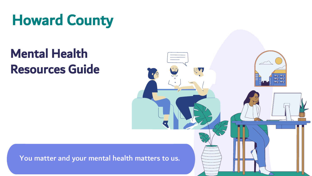# Howard County

# Mental Health Resources Guide



You matter and your mental health matters to us.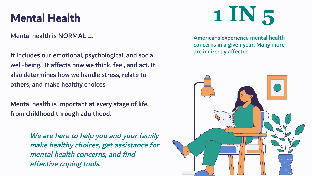Mental health is NORMAL ....

It includes our emotional, psychological, and social well-being. It affects how we think, feel, and act. It also determines how we handle stress, relate to others, and make healthy choices.

Mental health is important at every stage of life, from childhood through adulthood.

> We are here to help you and your family make healthy choices, get assistance for mental health concerns, and find effective co[p](https://www.cdc.gov/mentalhealth/learn/index.htm)in[g](https://www.cdc.gov/mentalhealth/learn/index.htm) tools.

## Mental Health

Americans experience mental health concerns in a given year. Many more are indirectly affected.



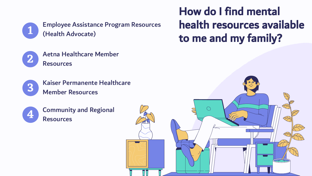







Employee Assistance Program Resources (Health Advocate)

Aetna Healthcare Member Resources

Kaiser Permanente Healthcare Member Resources

Community and Regional Resources



## How do I find mental health resources available to me and my family?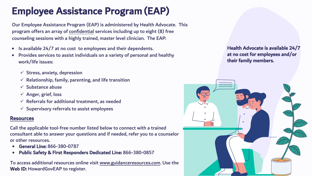### Resources

Call the applicable tool-free number listed below to connect with a trained consultant able to answer your questions and if needed, refer you to a counselor or other resources.

To access additional resources online visit www.guidanceresources.com. Use the Web ID: HowardGovEAP to register.

- General Line: 866-380-0787
- [Public Safety & Fir](https://healthadvocate.personaladvantage.com)st [Responders Dedicated Line: 866-380-0857](https://healthadvocate.personaladvantage.com)
- Is available 24/7 at no cost to employees and their dependents.
- Provides services to assist individuals on a variety of personal and healthy work/life issues:
	- $\checkmark$  Stress, anxiety, depression
	- $\checkmark$  Relationship, family, parenting, and life transition
	- $\checkmark$  Substance abuse
	- $\checkmark$  Anger, grief, loss
	- $\checkmark$  Referrals for additional treatment, as needed
	- $\checkmark$  Supervisory referrals to assist employees

Our Employee Assistance Program (EAP) is administered by Health Advocate. This program offers an array of confidential services including up to eight (8) free counseling sessions with a highly trained, master level clinician. The EAP:

## Employee Assistance Program (EAP)

Health Advocate is available 24/7 at no cost for employees and/or their family members.

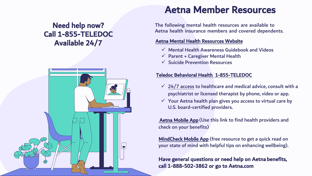### Teledoc Behavioral Health 1-855-TELEDOC

- 
- 

 $\checkmark$  24/7 access to healthcare and medical advice, consult with a psychiatrist or licensed therapist by phone, video or app.  $\checkmark$  Your Aetna health plan gives you access to virtual care by U.S. board-certified providers.

[MindCheck Mobile App](https://www.mindchecktoday.com/) (free resource to get a quick read on your state of mind with helpful tips on enhancing wellbeing).

### Aetna Member Resources

The following mental health resources are available to Aetna health insurance members and covered dependents.

### [Aetna Mental Health Resources Website](https://www.aetna.com/individuals-families/mental-emotional-health.html)

- 
- 
- 

 [Aetna Mobile App \(](https://www.aetna.com/individuals-families/using-your-aetna-benefits/aetna-mobile.html)Use this link to find health providers and check on your benefits)

Have general questions or need help on Aetna benefits, call 1-888-502-3862 or go to Aetna.c[om](https://www.aetna.com) 

 $\checkmark$  Mental Health Awareness Guidebook and Videos  $\checkmark$  Parent + Caregiver Mental Health  $\checkmark$  Suicide Prevention Resources

### Need help now? Call 1-855-TELEDOC Available 24/7

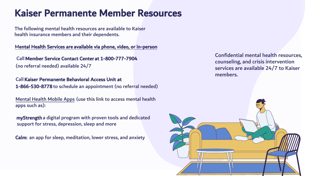### Kaiser Permanente Member Resources

Confidential mental health resources, counseling, and crisis intervention services are available 24/7 to Kaiser members.

The following mental health resources are available to Kaiser health insurance members and their dependents.

### Mental Health Services are available via phone, video, or in-person

Call Member Service Contact Center at 1-800-777-7904 (no referral needed) available 24/7

Call Kaiser Permanente Behavioral Access Unitat 1-866-530-8778 to schedule an appointment (no referral needed)

[Mental Health Mobile Apps \(u](https://healthy.kaiserpermanente.org/maryland-virginia-washington-dc/health-wellness/mental-health/tools-resources/digital)se this link to access mental health apps such as):

myStrength a digital program with proven tools and dedicated support for stress, depression, sleep and more

Calm: an app for sleep, meditation, lower stress, and anxiety

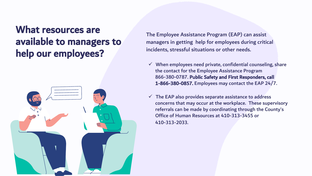### What resources are available to managers to help our employees?



The Employee Assistance Program (EAP) can assist managers in getting help for employees during critical incidents, stressful situations or other needs.

 $\checkmark$  When employees need private, confidential counseling, share the contact for the Employee Assistance Program 866-380-0787. Public Safety and First Responders, call 1-866-380-085[7. E](https://healthadvocate.personaladvantage.com/portal/content/10128854;subject=10114977)mployees may c[o](https://www.healthadvocate.com/downloads/HealthAdvocate_SupervisoryAwarenessTrainingManual.pdf)ntact the EAP 24/7.

 $\checkmark$  The EAP also [pr](https://healthadvocate.personaladvantage.com/portal/subject/10004397)ovides separa[te](https://vimeo.com/640436004/9239fdf5ba) assistance to address concerns that may occur at the workplace. These supervisory referrals can be made by coordinating through the County's Office of Human Resources at 410-313-3455 or

- 
- 410-313-2033.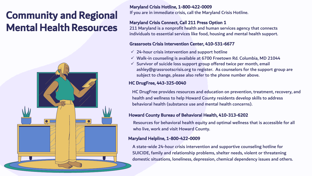Maryland Crisis Hotline, 1-800-422-0009 If you are in immediate crisis, call the Maryland Crisis Hotline.

### Maryland Crisis Connect, Call 211 Press Option 1

211 Maryland is a nonprofit health and human services agency that connects individuals to essential services like food, housing and mental health support.

### Grassroots Crisis Intervention Center, 410-531-6677

- $\checkmark$  24-hour crisis intervention and support hotline
- 
- 

 $\checkmark$  Walk-in counseling is available at 6700 Freetown Rd. Columbia, MD 21044  $\checkmark$  Survivor of suicide loss support group offered twice per month, email ashley@grassrootscrisis.org to register. As counselors for the support group are [subject to change, please also ref](mailto:amanda@grassrootscrisis.org)er to the phone number above.

### HC DrugFree, 443-325-0040

HC DrugFree provides resources and education on prevention, treatment, recovery, and health and wellness to help Howard County residents develop skills to address behavioral health (substance use and mental health concerns).

### [Howard County Bureau of Behavioral Health](https://www.howardcountymd.gov/gethelp), 410-313-6202

Resources for behavioral health equity and optimal wellness that is accessible for all who live, work and visit Howard County.

### Maryland Helpline, 1-800-422-0009

A state-wide 24-hour crisis intervention and supportive counseling hotline for SUICIDE, family and relationship problems, shelter needs, violent or threatening domestic situations, loneliness, depression, chemical dependency issues and others.

## Community and Regional Mental Health Resources

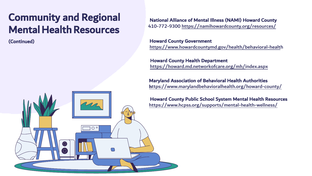N[ational Alliance of Mental Illness \(NAMI\) Ho](https://namihowardcounty.org/resources/)ward County 410-772-9300 https://namihowardcounty.org/resources/

 H[oward County Government](https://www.howardcountymd.gov/health/behavioral-health) https://www.howardcountymd.gov/health/behavioral-health

 [Howard County Health Department](https://howard.md.networkofcare.org/mh/index.aspx) https://howard.md.networkofcare.org/mh/index.aspx

[Maryland Association of Behavioral Health Authorities](https://www.marylandbehavioralhealth.org/howard-county/)  https://www.marylandbehavioralhealth.org/howard-county/

 Howard County Public School System Mental Health Resources <https://www.hcpss.org/supports/mental-health-wellness/>

## Community and Regional Mental Health Resources

 $O^{\circ}$ 

(Continued)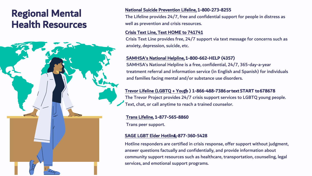### Regional Mental Health Resources



## National Suicide Prevention Lifeline, 1-800-273-8255

The Lifeline provides 24/7, free and confidential support for people in distress as well as prevention and crisis resources.

Crisis Text Line, Text HOME to 741741 Crisis Text Line provides free, 24/7 support via text message for concerns such as anxiety, depression, suicide, etc.

[Trevor Lifeline \(LGBTQ + Yout](https://www.thetrevorproject.org/)h) 1-866-488-7386 or text START to 678678 The Trevor Project provides 24/7 crisis support services to LGBTQ young people. Text, chat, or call anytime to reach a trained counselor.

[SAMHSA's National Helpline, 1-800-662-HELP \(4](https://www.samhsa.gov/find-help/national-helpline)357) SAMHSA's National Helpline is a free, confidential, 24/7, 365-day-a-year treatment referral and information service (in English and Spanish) for individuals and families facing mental and/or substance use disorders.

[Trans Lifelin](https://translifeline.org/)e, 1-877-565-8860 Trans peer support.

## [SAGE LGBT Elder Hotlin](https://www.sageusa.org/what-we-do/sage-national-lgbt-elder-hotline/)g-877-360-5428

Hotline responders are certified in crisis response, offer support without judgment, answer questions factually and confidentially, and provide information about community support resources such as healthcare, transportation, counseling, legal services, and emotional support programs.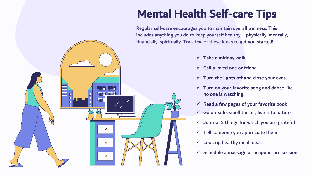Regular self-care encourages you to maintain overall wellness. This includes anything you do to keep yourself healthy – physically, mentally, financially, spiritually. Try a few of these ideas to get you started!



- $\checkmark$  Take a midday walk
- $\checkmark$  Call a loved one or friend
- $\checkmark$  Turn the lights off and close your eyes
- $\checkmark$  Turn on your favorite song and dance like no one is watching!
- $\checkmark$  Read a few pages of your favorite book
- $\checkmark$  Go outside, smell the air, listen to nature
- $\checkmark$  Journal 5 things for which you are grateful
- $\checkmark$  Tell someone you appreciate them
- $\checkmark$  Look up healthy meal ideas
- $\checkmark$  Schedule a massage or acupuncture session

## Mental Health Self-care Tips